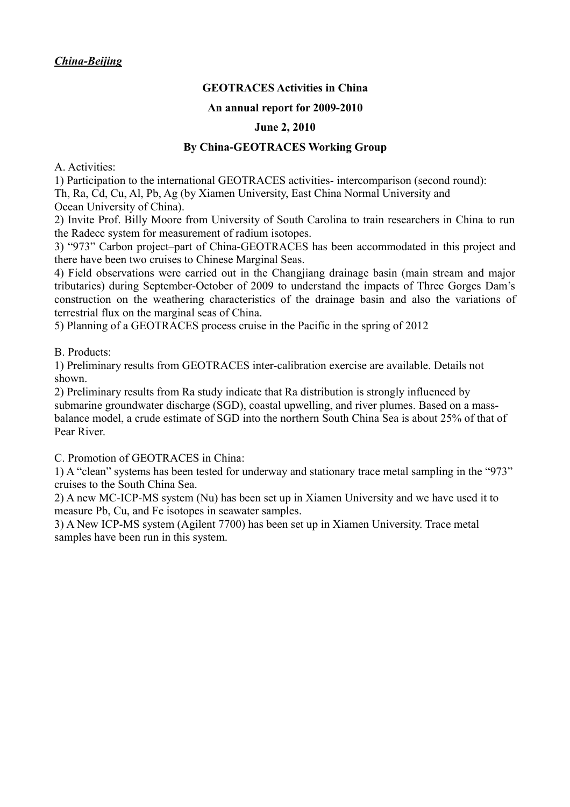# **GEOTRACES Activities in China**

#### **An annual report for 2009-2010**

#### **June 2, 2010**

### **By China-GEOTRACES Working Group**

A. Activities:

1) Participation to the international GEOTRACES activities- intercomparison (second round): Th, Ra, Cd, Cu, Al, Pb, Ag (by Xiamen University, East China Normal University and Ocean University of China).

2) Invite Prof. Billy Moore from University of South Carolina to train researchers in China to run the Radecc system for measurement of radium isotopes.

3) "973" Carbon project–part of China-GEOTRACES has been accommodated in this project and there have been two cruises to Chinese Marginal Seas.

4) Field observations were carried out in the Changjiang drainage basin (main stream and major tributaries) during September-October of 2009 to understand the impacts of Three Gorges Dam's construction on the weathering characteristics of the drainage basin and also the variations of terrestrial flux on the marginal seas of China.

5) Planning of a GEOTRACES process cruise in the Pacific in the spring of 2012

B. Products:

1) Preliminary results from GEOTRACES inter-calibration exercise are available. Details not shown.

2) Preliminary results from Ra study indicate that Ra distribution is strongly influenced by submarine groundwater discharge (SGD), coastal upwelling, and river plumes. Based on a massbalance model, a crude estimate of SGD into the northern South China Sea is about 25% of that of Pear River.

C. Promotion of GEOTRACES in China:

1) A "clean" systems has been tested for underway and stationary trace metal sampling in the "973" cruises to the South China Sea.

2) A new MC-ICP-MS system (Nu) has been set up in Xiamen University and we have used it to measure Pb, Cu, and Fe isotopes in seawater samples.

3) A New ICP-MS system (Agilent 7700) has been set up in Xiamen University. Trace metal samples have been run in this system.